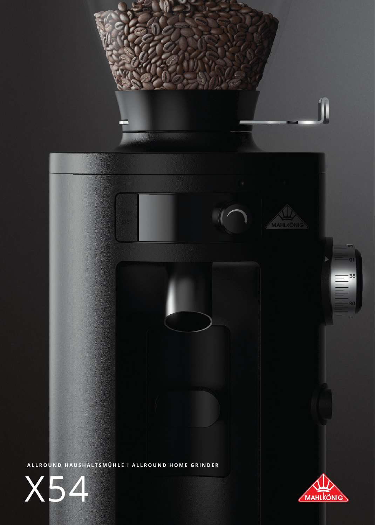